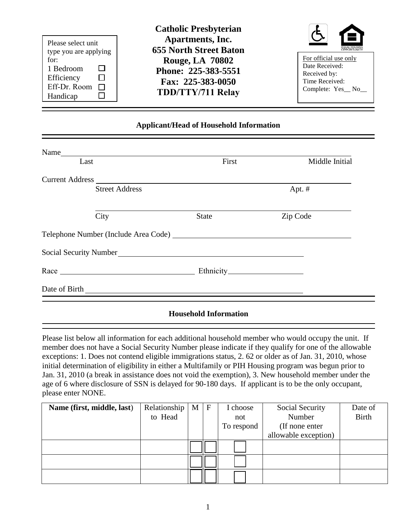| Please select unit<br>type you are applying                 | Apartments, Inc.<br><b>655 North Street Baton</b>                                              | Н<br>EQUAL HOUSIN                                                                              |
|-------------------------------------------------------------|------------------------------------------------------------------------------------------------|------------------------------------------------------------------------------------------------|
| for:<br>1 Bedroom<br>Efficiency<br>Eff-Dr. Room<br>Handicap | <b>Rouge, LA 70802</b><br>Phone: 225-383-5551<br>Fax: 225-383-0050<br><b>TDD/TTY/711 Relay</b> | For official use only<br>Date Received:<br>Received by:<br>Time Received:<br>Complete: Yes_No_ |

### **Applicant/Head of Household Information**

| Last                                                     | First        | Middle Initial |
|----------------------------------------------------------|--------------|----------------|
|                                                          |              |                |
| <b>Street Address</b>                                    |              | Apt. $#$       |
| City                                                     | <b>State</b> | Zip Code       |
|                                                          |              |                |
| Social Security Number League and Social Security Number |              |                |
|                                                          |              |                |
| Race Ethnicity Ethnicity                                 |              |                |

#### **Household Information**

Please list below all information for each additional household member who would occupy the unit. If member does not have a Social Security Number please indicate if they qualify for one of the allowable exceptions: 1. Does not contend eligible immigrations status, 2. 62 or older as of Jan. 31, 2010, whose initial determination of eligibility in either a Multifamily or PIH Housing program was begun prior to Jan. 31, 2010 (a break in assistance does not void the exemption), 3. New household member under the age of 6 where disclosure of SSN is delayed for 90-180 days. If applicant is to be the only occupant, please enter NONE.

| Name (first, middle, last) | Relationship | M | $\mathbf{F}$ | choose     | Social Security      | Date of      |
|----------------------------|--------------|---|--------------|------------|----------------------|--------------|
|                            | to Head      |   |              | not        | Number               | <b>Birth</b> |
|                            |              |   |              | To respond | (If none enter       |              |
|                            |              |   |              |            | allowable exception) |              |
|                            |              |   |              |            |                      |              |
|                            |              |   |              |            |                      |              |
|                            |              |   |              |            |                      |              |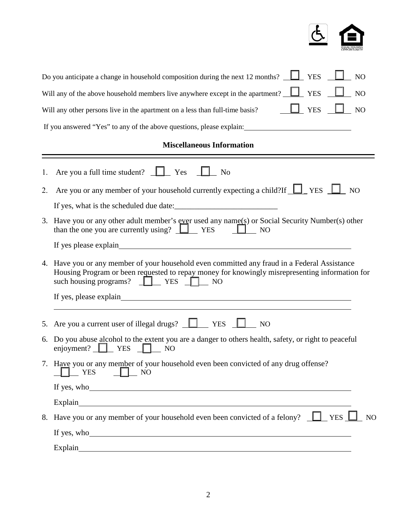

|    | Do you anticipate a change in household composition during the next 12 months? $\Box$<br><b>YES</b><br>NO                                                                                                                                     |  |  |  |  |  |  |  |  |
|----|-----------------------------------------------------------------------------------------------------------------------------------------------------------------------------------------------------------------------------------------------|--|--|--|--|--|--|--|--|
|    | Will any of the above household members live anywhere except in the apartment? <u>U</u> YES<br>NO                                                                                                                                             |  |  |  |  |  |  |  |  |
|    | $\Box$ YES<br>NO<br>Will any other persons live in the apartment on a less than full-time basis?                                                                                                                                              |  |  |  |  |  |  |  |  |
|    | If you answered "Yes" to any of the above questions, please explain:                                                                                                                                                                          |  |  |  |  |  |  |  |  |
|    | <b>Miscellaneous Information</b>                                                                                                                                                                                                              |  |  |  |  |  |  |  |  |
| 1. | Are you a full time student? $\Box$ Yes<br>N <sub>o</sub>                                                                                                                                                                                     |  |  |  |  |  |  |  |  |
| 2. | Are you or any member of your household currently expecting a child?If $\Box$ YES $\Box$ NO                                                                                                                                                   |  |  |  |  |  |  |  |  |
|    |                                                                                                                                                                                                                                               |  |  |  |  |  |  |  |  |
| 3. | Have you or any other adult member's ever used any name( $s$ ) or Social Security Number( $s$ ) other<br>than the one you are currently using? $\Box$ YES<br>$\Box$ NO                                                                        |  |  |  |  |  |  |  |  |
|    |                                                                                                                                                                                                                                               |  |  |  |  |  |  |  |  |
|    | 4. Have you or any member of your household even committed any fraud in a Federal Assistance<br>Housing Program or been requested to repay money for knowingly misrepresenting information for<br>such housing programs? $\Box$ YES $\Box$ NO |  |  |  |  |  |  |  |  |
|    |                                                                                                                                                                                                                                               |  |  |  |  |  |  |  |  |
|    | 5. Are you a current user of illegal drugs? $\Box$ YES $\Box$ NO                                                                                                                                                                              |  |  |  |  |  |  |  |  |
|    | 6. Do you abuse alcohol to the extent you are a danger to others health, safety, or right to peaceful<br>enjoyment? $\Box$ YES $\Box$ NO                                                                                                      |  |  |  |  |  |  |  |  |
|    | 7. Have you or any member of your household even been convicted of any drug offense?<br>$\Box$ NO<br>$\Box$ YES                                                                                                                               |  |  |  |  |  |  |  |  |
|    | If yes, who                                                                                                                                                                                                                                   |  |  |  |  |  |  |  |  |
|    |                                                                                                                                                                                                                                               |  |  |  |  |  |  |  |  |
|    | 8. Have you or any member of your household even been convicted of a felony? $\Box$ YES $\Box$ NO                                                                                                                                             |  |  |  |  |  |  |  |  |
|    | If yes, who                                                                                                                                                                                                                                   |  |  |  |  |  |  |  |  |
|    | Explain explain                                                                                                                                                                                                                               |  |  |  |  |  |  |  |  |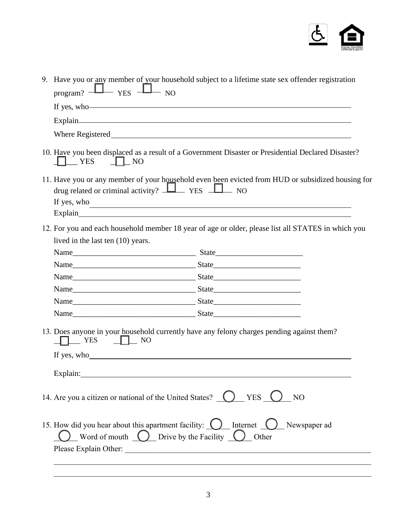

| $_{\text{program?}}$ $\Box$ $_{\text{YES}}$ $\Box$ NO                                                                                                              | 9. Have you or any member of your household subject to a lifetime state sex offender registration                |
|--------------------------------------------------------------------------------------------------------------------------------------------------------------------|------------------------------------------------------------------------------------------------------------------|
|                                                                                                                                                                    | If yes, who                                                                                                      |
| Explain explainter and the set of the set of the set of the set of the set of the set of the set of the set of                                                     |                                                                                                                  |
|                                                                                                                                                                    |                                                                                                                  |
| $\Box$ NO<br>$\blacksquare$ YES                                                                                                                                    | 10. Have you been displaced as a result of a Government Disaster or Presidential Declared Disaster?              |
| drug related or criminal activity? $\Box$ YES $\Box$ NO                                                                                                            | 11. Have you or any member of your household even been evicted from HUD or subsidized housing for<br>If yes, who |
|                                                                                                                                                                    | 12. For you and each household member 18 year of age or older, please list all STATES in which you               |
| lived in the last ten (10) years.                                                                                                                                  |                                                                                                                  |
|                                                                                                                                                                    |                                                                                                                  |
|                                                                                                                                                                    |                                                                                                                  |
|                                                                                                                                                                    |                                                                                                                  |
|                                                                                                                                                                    |                                                                                                                  |
|                                                                                                                                                                    |                                                                                                                  |
|                                                                                                                                                                    |                                                                                                                  |
| $\Box$ NO<br>$\top$ YES<br>If yes, who                                                                                                                             | 13. Does anyone in your household currently have any felony charges pending against them?                        |
| Explain:                                                                                                                                                           |                                                                                                                  |
| 14. Are you a citizen or national of the United States? $\bigcirc$                                                                                                 | YES (<br>NO                                                                                                      |
| 15. How did you hear about this apartment facility: $\bigcirc$ Internet $\bigcirc$ Newspaper ad<br>Word of mouth $\bigcirc$ Drive by the Facility $\bigcirc$ Other |                                                                                                                  |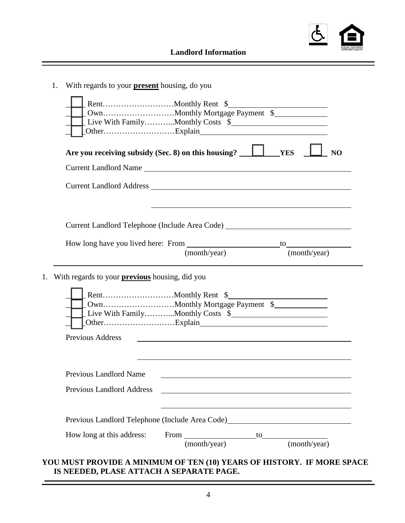

**Landlord Information** 

| 1. | With regards to your <b>present</b> housing, do you   |                                                                                                                       |              |
|----|-------------------------------------------------------|-----------------------------------------------------------------------------------------------------------------------|--------------|
|    |                                                       | Live With FamilyMonthly Costs \$                                                                                      |              |
|    |                                                       |                                                                                                                       | NO           |
|    |                                                       | Current Landlord Name                                                                                                 |              |
|    |                                                       |                                                                                                                       |              |
|    |                                                       |                                                                                                                       |              |
|    |                                                       | Current Landlord Telephone (Include Area Code) _________________________________                                      |              |
|    |                                                       |                                                                                                                       |              |
|    |                                                       |                                                                                                                       |              |
|    |                                                       | (month/year)                                                                                                          | (month/year) |
| 1. | With regards to your <b>previous</b> housing, did you |                                                                                                                       |              |
|    |                                                       | Live With FamilyMonthly Costs \$                                                                                      |              |
|    | <b>Previous Address</b>                               | <u> 1989 - Johann Harry Harry Harry Harry Harry Harry Harry Harry Harry Harry Harry Harry Harry Harry Harry Harry</u> |              |
|    |                                                       |                                                                                                                       |              |
|    | Previous Landlord Name                                |                                                                                                                       |              |
|    | <b>Previous Landlord Address</b>                      |                                                                                                                       |              |
|    |                                                       |                                                                                                                       |              |
|    |                                                       | Previous Landlord Telephone (Include Area Code) Maria Maria Maria Maria Maria Maria Maria Maria Maria Maria Ma        |              |

### **YOU MUST PROVIDE A MINIMUM OF TEN (10) YEARS OF HISTORY. IF MORE SPACE IS NEEDED, PLASE ATTACH A SEPARATE PAGE.**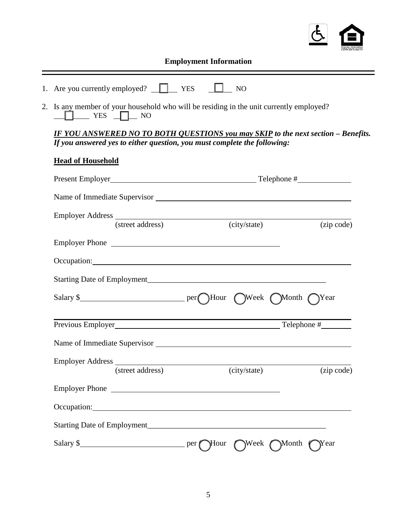

## **Employment Information**

|  | 1. Are you currently employed? |  |  |  |
|--|--------------------------------|--|--|--|
|--|--------------------------------|--|--|--|

2. Is any member of your household who will be residing in the unit currently employed?  $\Box$  YES  $\Box$  NO

*IF YOU ANSWERED NO TO BOTH QUESTIONS you may SKIP to the next section – Benefits. If you answered yes to either question, you must complete the following:* 

### **Head of Household**

| Employer Address (street address) (city/state                                                                                                                                                                                  | (city/state) | (zip code) |
|--------------------------------------------------------------------------------------------------------------------------------------------------------------------------------------------------------------------------------|--------------|------------|
| Employer Phone                                                                                                                                                                                                                 |              |            |
| Occupation: Decree Contains and Contains a series of the contact of the contact of the contact of the contact of the contact of the contact of the contact of the contact of the contact of the contact of the contact of the  |              |            |
|                                                                                                                                                                                                                                |              |            |
|                                                                                                                                                                                                                                |              |            |
|                                                                                                                                                                                                                                |              |            |
|                                                                                                                                                                                                                                |              |            |
| (street address)                                                                                                                                                                                                               | (city/state) | (zip code) |
|                                                                                                                                                                                                                                |              |            |
| Occupation: example and the contract of the contract of the contract of the contract of the contract of the contract of the contract of the contract of the contract of the contract of the contract of the contract of the co |              |            |
|                                                                                                                                                                                                                                |              |            |
|                                                                                                                                                                                                                                |              |            |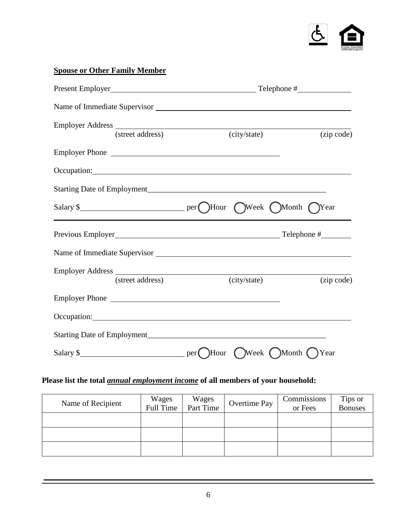

# **Spouse or Other Family Member**

|                  |                                   | Name of Immediate Supervisor                                                                                                                                                                                                         |            |
|------------------|-----------------------------------|--------------------------------------------------------------------------------------------------------------------------------------------------------------------------------------------------------------------------------------|------------|
|                  | Employer Address (street address) | (city/state)                                                                                                                                                                                                                         | (zip code) |
|                  |                                   | Employer Phone                                                                                                                                                                                                                       |            |
|                  |                                   | Occupation: <u>contract and contract and contract and contract and contract and contract and contract and contract and contract and contract and contract and contract and contract and contract and contract and contract and c</u> |            |
|                  |                                   |                                                                                                                                                                                                                                      |            |
|                  |                                   |                                                                                                                                                                                                                                      | Year       |
|                  |                                   |                                                                                                                                                                                                                                      |            |
|                  |                                   |                                                                                                                                                                                                                                      |            |
| Employer Address | (street address)                  | (city/state)                                                                                                                                                                                                                         | (zip code) |
|                  |                                   |                                                                                                                                                                                                                                      |            |
|                  |                                   |                                                                                                                                                                                                                                      |            |
|                  |                                   | Occupation: Decumation: Decumation: Decumation: Decumation: Decumation: Decumation: Decumation: Decimation: Decimation: Decimation: Decimation: Decimation: Decimation: Decimation: Decimation: Decimation: Decimation: Decima       |            |
|                  |                                   |                                                                                                                                                                                                                                      |            |

## **Please list the total** *annual employmen***t** *income* **of all members of your household:**

| Name of Recipient | Wages<br>Full Time | Wages<br>Part Time | Overtime Pay | Commissions<br>or Fees | Tips or<br><b>Bonuses</b> |
|-------------------|--------------------|--------------------|--------------|------------------------|---------------------------|
|                   |                    |                    |              |                        |                           |
|                   |                    |                    |              |                        |                           |
|                   |                    |                    |              |                        |                           |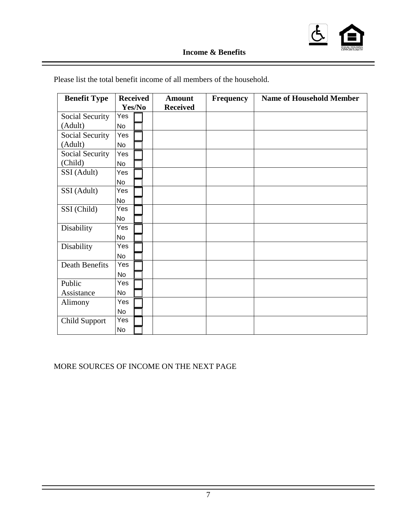

## **Income & Benefits**

| <b>Benefit Type</b>  | <b>Received</b> | <b>Amount</b>   | <b>Frequency</b> | <b>Name of Household Member</b> |
|----------------------|-----------------|-----------------|------------------|---------------------------------|
|                      | Yes/No          | <b>Received</b> |                  |                                 |
| Social Security      | Yes             |                 |                  |                                 |
| (Adult)              | <b>No</b>       |                 |                  |                                 |
| Social Security      | Yes             |                 |                  |                                 |
| (Adult)              | <b>No</b>       |                 |                  |                                 |
| Social Security      | Yes             |                 |                  |                                 |
| (Child)              | <b>No</b>       |                 |                  |                                 |
| SSI (Adult)          | Yes             |                 |                  |                                 |
|                      | No              |                 |                  |                                 |
| SSI (Adult)          | Yes             |                 |                  |                                 |
|                      | <b>No</b>       |                 |                  |                                 |
| SSI (Child)          | Yes             |                 |                  |                                 |
|                      | <b>No</b>       |                 |                  |                                 |
| Disability           | Yes             |                 |                  |                                 |
|                      | <b>No</b>       |                 |                  |                                 |
| Disability           | Yes             |                 |                  |                                 |
|                      | <b>No</b>       |                 |                  |                                 |
| Death Benefits       | Yes             |                 |                  |                                 |
|                      | <b>No</b>       |                 |                  |                                 |
| Public               | Yes             |                 |                  |                                 |
| Assistance           | <b>No</b>       |                 |                  |                                 |
| Alimony              | Yes             |                 |                  |                                 |
|                      | <b>No</b>       |                 |                  |                                 |
| <b>Child Support</b> | Yes             |                 |                  |                                 |
|                      | No              |                 |                  |                                 |

Please list the total benefit income of all members of the household.

MORE SOURCES OF INCOME ON THE NEXT PAGE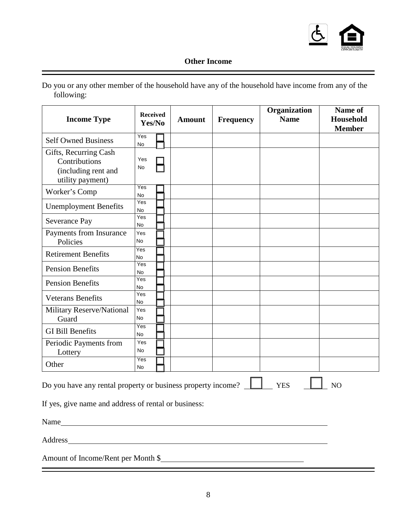

## **Other Income**

|            | Do you or any other member of the household have any of the household have income from any of the |  |  |
|------------|---------------------------------------------------------------------------------------------------|--|--|
| following: |                                                                                                   |  |  |

| <b>Income Type</b>                                                                                                                                                                                                             | <b>Received</b><br>Yes/No |  | <b>Amount</b> | <b>Frequency</b> | Organization<br><b>Name</b> | Name of<br><b>Household</b><br><b>Member</b> |
|--------------------------------------------------------------------------------------------------------------------------------------------------------------------------------------------------------------------------------|---------------------------|--|---------------|------------------|-----------------------------|----------------------------------------------|
| <b>Self Owned Business</b>                                                                                                                                                                                                     | Yes<br>No                 |  |               |                  |                             |                                              |
| Gifts, Recurring Cash<br>Contributions<br>(including rent and<br>utility payment)                                                                                                                                              | Yes<br>No                 |  |               |                  |                             |                                              |
| Worker's Comp                                                                                                                                                                                                                  | Yes<br>No                 |  |               |                  |                             |                                              |
| <b>Unemployment Benefits</b>                                                                                                                                                                                                   | Yes<br>No                 |  |               |                  |                             |                                              |
| Severance Pay                                                                                                                                                                                                                  | Yes<br>No                 |  |               |                  |                             |                                              |
| Payments from Insurance<br>Policies                                                                                                                                                                                            | Yes<br>No                 |  |               |                  |                             |                                              |
| <b>Retirement Benefits</b>                                                                                                                                                                                                     | Yes<br>No                 |  |               |                  |                             |                                              |
| <b>Pension Benefits</b>                                                                                                                                                                                                        | Yes<br>No                 |  |               |                  |                             |                                              |
| <b>Pension Benefits</b>                                                                                                                                                                                                        | Yes<br>No                 |  |               |                  |                             |                                              |
| <b>Veterans Benefits</b>                                                                                                                                                                                                       | Yes<br>No                 |  |               |                  |                             |                                              |
| Military Reserve/National<br>Guard                                                                                                                                                                                             | Yes<br>No                 |  |               |                  |                             |                                              |
| <b>GI Bill Benefits</b>                                                                                                                                                                                                        | Yes<br>No                 |  |               |                  |                             |                                              |
| Periodic Payments from<br>Lottery                                                                                                                                                                                              | Yes<br>No                 |  |               |                  |                             |                                              |
| Other                                                                                                                                                                                                                          | Yes<br>No                 |  |               |                  |                             |                                              |
| Do you have any rental property or business property income?<br><b>YES</b><br>NO<br>If yes, give name and address of rental or business:                                                                                       |                           |  |               |                  |                             |                                              |
|                                                                                                                                                                                                                                |                           |  |               |                  |                             |                                              |
| Address and the contract of the contract of the contract of the contract of the contract of the contract of the contract of the contract of the contract of the contract of the contract of the contract of the contract of th |                           |  |               |                  |                             |                                              |
| Amount of Income/Rent per Month \$                                                                                                                                                                                             |                           |  |               |                  |                             |                                              |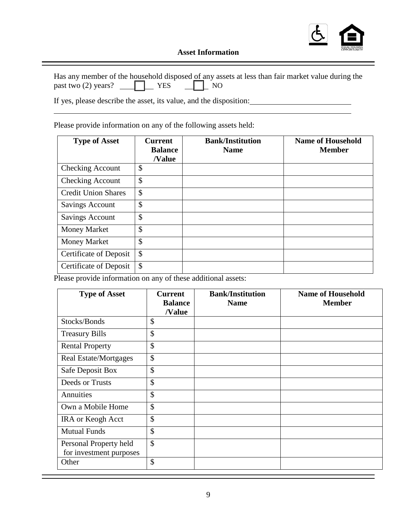

### **Asset Information**

|                                          |  | Has any member of the household disposed of any assets at less than fair market value during the |
|------------------------------------------|--|--------------------------------------------------------------------------------------------------|
| past two (2) years? $\Box$ YES $\Box$ NO |  |                                                                                                  |

If yes, please describe the asset, its value, and the disposition:

 $\overline{a}$ 

Please provide information on any of the following assets held:

| <b>Type of Asset</b>          | <b>Current</b><br><b>Balance</b><br><b>Nalue</b> | <b>Bank/Institution</b><br><b>Name</b> | <b>Name of Household</b><br><b>Member</b> |
|-------------------------------|--------------------------------------------------|----------------------------------------|-------------------------------------------|
| <b>Checking Account</b>       | \$                                               |                                        |                                           |
| <b>Checking Account</b>       | $\mathcal{S}$                                    |                                        |                                           |
| <b>Credit Union Shares</b>    | \$                                               |                                        |                                           |
| <b>Savings Account</b>        | \$                                               |                                        |                                           |
| <b>Savings Account</b>        | $\mathcal{S}$                                    |                                        |                                           |
| <b>Money Market</b>           | \$                                               |                                        |                                           |
| <b>Money Market</b>           | \$                                               |                                        |                                           |
| <b>Certificate of Deposit</b> | $\mathcal{S}$                                    |                                        |                                           |
| <b>Certificate of Deposit</b> | \$                                               |                                        |                                           |

Please provide information on any of these additional assets:

| <b>Type of Asset</b>                              | <b>Current</b><br><b>Balance</b><br>/Value | <b>Bank/Institution</b><br><b>Name</b> | <b>Name of Household</b><br><b>Member</b> |
|---------------------------------------------------|--------------------------------------------|----------------------------------------|-------------------------------------------|
| Stocks/Bonds                                      | \$                                         |                                        |                                           |
| <b>Treasury Bills</b>                             | $\mathcal{S}$                              |                                        |                                           |
| <b>Rental Property</b>                            | \$                                         |                                        |                                           |
| Real Estate/Mortgages                             | \$                                         |                                        |                                           |
| Safe Deposit Box                                  | \$                                         |                                        |                                           |
| Deeds or Trusts                                   | $\mathcal{S}$                              |                                        |                                           |
| Annuities                                         | \$                                         |                                        |                                           |
| Own a Mobile Home                                 | $\mathcal{S}$                              |                                        |                                           |
| <b>IRA</b> or Keogh Acct                          | \$                                         |                                        |                                           |
| <b>Mutual Funds</b>                               | $\mathcal{S}$                              |                                        |                                           |
| Personal Property held<br>for investment purposes | $\mathcal{S}$                              |                                        |                                           |
| Other                                             | \$                                         |                                        |                                           |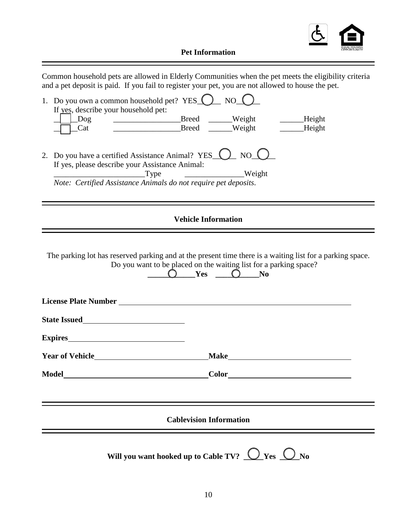

**Pet Information**

| Common household pets are allowed in Elderly Communities when the pet meets the eligibility criteria<br>and a pet deposit is paid. If you fail to register your pet, you are not allowed to house the pet.                        |  |  |  |  |
|-----------------------------------------------------------------------------------------------------------------------------------------------------------------------------------------------------------------------------------|--|--|--|--|
| 1. Do you own a common household pet? YES $\bigcirc$ NO $\bigcirc$<br>If yes, describe your household pet:<br>_________________________Breed _______Weight _________Height<br>$\log$<br>Breed ____Weight _____Height<br>$\_{Cat}$ |  |  |  |  |
| 2. Do you have a certified Assistance Animal? YES () NO<br>If yes, please describe your Assistance Animal:<br>Type<br>Weight<br>Note: Certified Assistance Animals do not require pet deposits.                                   |  |  |  |  |
| <b>Vehicle Information</b>                                                                                                                                                                                                        |  |  |  |  |
| The parking lot has reserved parking and at the present time there is a waiting list for a parking space.<br>Do you want to be placed on the waiting list for a parking space?<br>$O$ Yes $O$ No                                  |  |  |  |  |
| Expires                                                                                                                                                                                                                           |  |  |  |  |
| <b>Make</b>                                                                                                                                                                                                                       |  |  |  |  |
| Model Model and the set of the set of the set of the set of the set of the set of the set of the set of the set of the set of the set of the set of the set of the set of the set of the set of the set of the set of the set     |  |  |  |  |
| <b>Cablevision Information</b>                                                                                                                                                                                                    |  |  |  |  |
| Will you want hooked up to Cable TV? $\bigcirc$ Yes $\bigcirc$ No                                                                                                                                                                 |  |  |  |  |